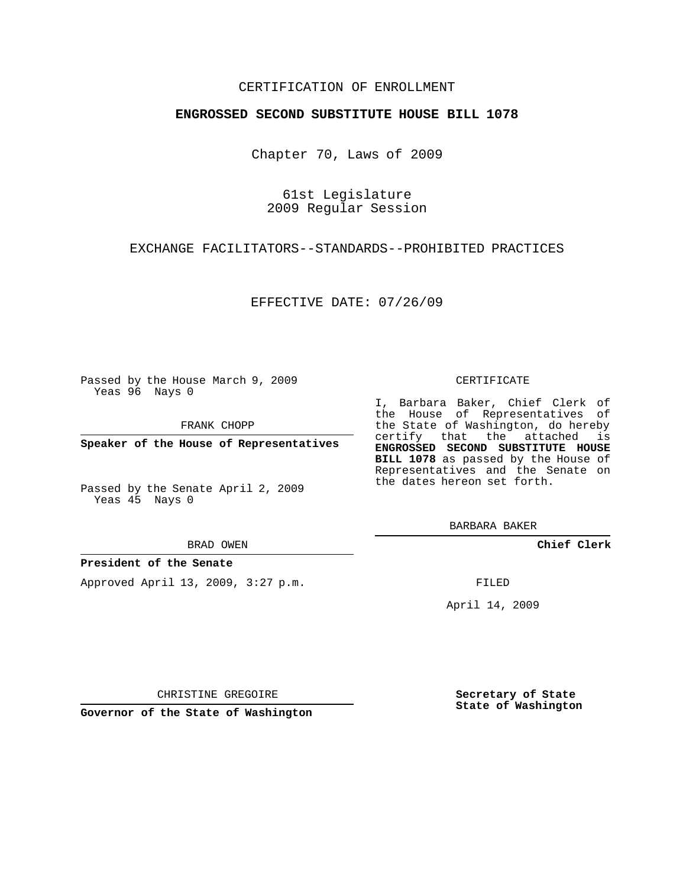## CERTIFICATION OF ENROLLMENT

### **ENGROSSED SECOND SUBSTITUTE HOUSE BILL 1078**

Chapter 70, Laws of 2009

61st Legislature 2009 Regular Session

EXCHANGE FACILITATORS--STANDARDS--PROHIBITED PRACTICES

EFFECTIVE DATE: 07/26/09

Passed by the House March 9, 2009 Yeas 96 Nays 0

FRANK CHOPP

**Speaker of the House of Representatives**

Passed by the Senate April 2, 2009 Yeas 45 Nays 0

BRAD OWEN

#### **President of the Senate**

Approved April 13, 2009, 3:27 p.m.

CERTIFICATE

I, Barbara Baker, Chief Clerk of the House of Representatives of the State of Washington, do hereby certify that the attached is **ENGROSSED SECOND SUBSTITUTE HOUSE BILL 1078** as passed by the House of Representatives and the Senate on the dates hereon set forth.

BARBARA BAKER

**Chief Clerk**

FILED

April 14, 2009

CHRISTINE GREGOIRE

**Governor of the State of Washington**

**Secretary of State State of Washington**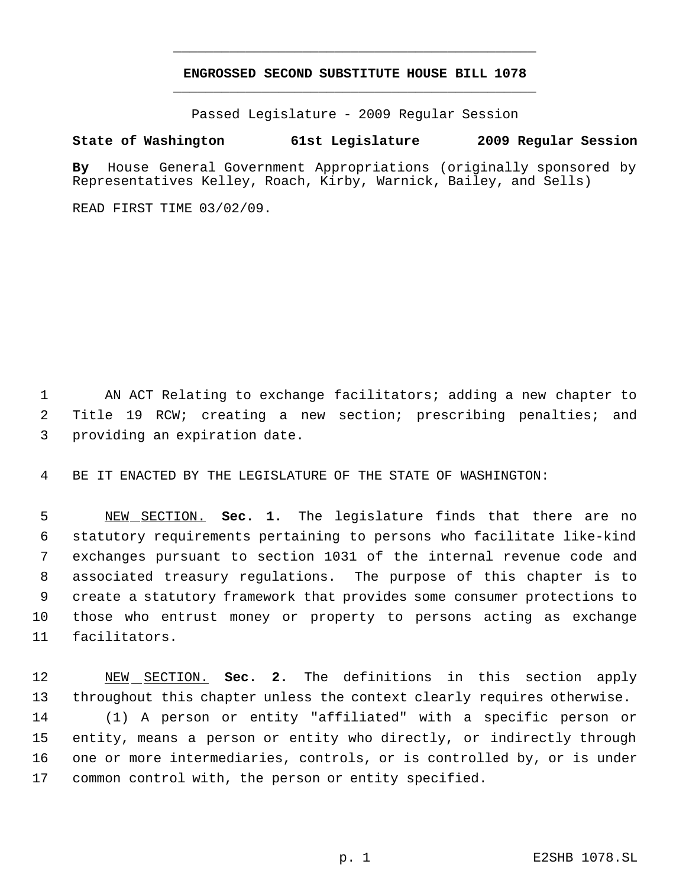# **ENGROSSED SECOND SUBSTITUTE HOUSE BILL 1078** \_\_\_\_\_\_\_\_\_\_\_\_\_\_\_\_\_\_\_\_\_\_\_\_\_\_\_\_\_\_\_\_\_\_\_\_\_\_\_\_\_\_\_\_\_

\_\_\_\_\_\_\_\_\_\_\_\_\_\_\_\_\_\_\_\_\_\_\_\_\_\_\_\_\_\_\_\_\_\_\_\_\_\_\_\_\_\_\_\_\_

Passed Legislature - 2009 Regular Session

# **State of Washington 61st Legislature 2009 Regular Session**

**By** House General Government Appropriations (originally sponsored by Representatives Kelley, Roach, Kirby, Warnick, Bailey, and Sells)

READ FIRST TIME 03/02/09.

 AN ACT Relating to exchange facilitators; adding a new chapter to Title 19 RCW; creating a new section; prescribing penalties; and providing an expiration date.

BE IT ENACTED BY THE LEGISLATURE OF THE STATE OF WASHINGTON:

 NEW SECTION. **Sec. 1.** The legislature finds that there are no statutory requirements pertaining to persons who facilitate like-kind exchanges pursuant to section 1031 of the internal revenue code and associated treasury regulations. The purpose of this chapter is to create a statutory framework that provides some consumer protections to those who entrust money or property to persons acting as exchange facilitators.

 NEW SECTION. **Sec. 2.** The definitions in this section apply throughout this chapter unless the context clearly requires otherwise. (1) A person or entity "affiliated" with a specific person or entity, means a person or entity who directly, or indirectly through one or more intermediaries, controls, or is controlled by, or is under common control with, the person or entity specified.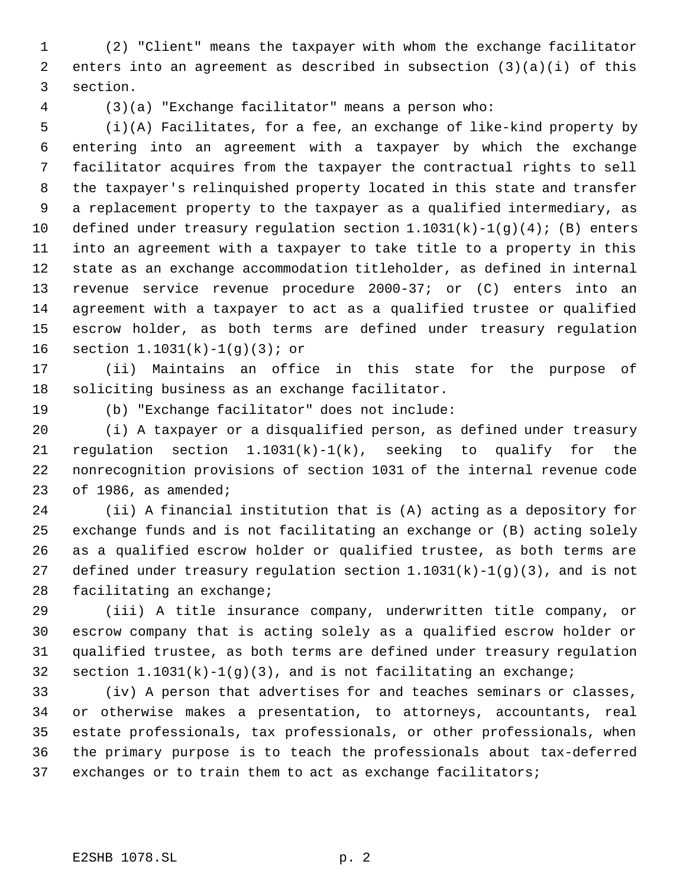(2) "Client" means the taxpayer with whom the exchange facilitator enters into an agreement as described in subsection (3)(a)(i) of this section.

(3)(a) "Exchange facilitator" means a person who:

 (i)(A) Facilitates, for a fee, an exchange of like-kind property by entering into an agreement with a taxpayer by which the exchange facilitator acquires from the taxpayer the contractual rights to sell the taxpayer's relinquished property located in this state and transfer a replacement property to the taxpayer as a qualified intermediary, as 10 defined under treasury requlation section  $1.1031(k)-1(q)(4)$ ; (B) enters into an agreement with a taxpayer to take title to a property in this state as an exchange accommodation titleholder, as defined in internal revenue service revenue procedure 2000-37; or (C) enters into an agreement with a taxpayer to act as a qualified trustee or qualified escrow holder, as both terms are defined under treasury regulation section 1.1031(k)-1(g)(3); or

 (ii) Maintains an office in this state for the purpose of soliciting business as an exchange facilitator.

(b) "Exchange facilitator" does not include:

 (i) A taxpayer or a disqualified person, as defined under treasury 21 regulation section  $1.1031(k)-1(k)$ , seeking to qualify for the nonrecognition provisions of section 1031 of the internal revenue code of 1986, as amended;

 (ii) A financial institution that is (A) acting as a depository for exchange funds and is not facilitating an exchange or (B) acting solely as a qualified escrow holder or qualified trustee, as both terms are 27 defined under treasury regulation section  $1.1031(k)-1(g)(3)$ , and is not facilitating an exchange;

 (iii) A title insurance company, underwritten title company, or escrow company that is acting solely as a qualified escrow holder or qualified trustee, as both terms are defined under treasury regulation 32 section  $1.1031(k)-1(g)(3)$ , and is not facilitating an exchange;

 (iv) A person that advertises for and teaches seminars or classes, or otherwise makes a presentation, to attorneys, accountants, real estate professionals, tax professionals, or other professionals, when the primary purpose is to teach the professionals about tax-deferred exchanges or to train them to act as exchange facilitators;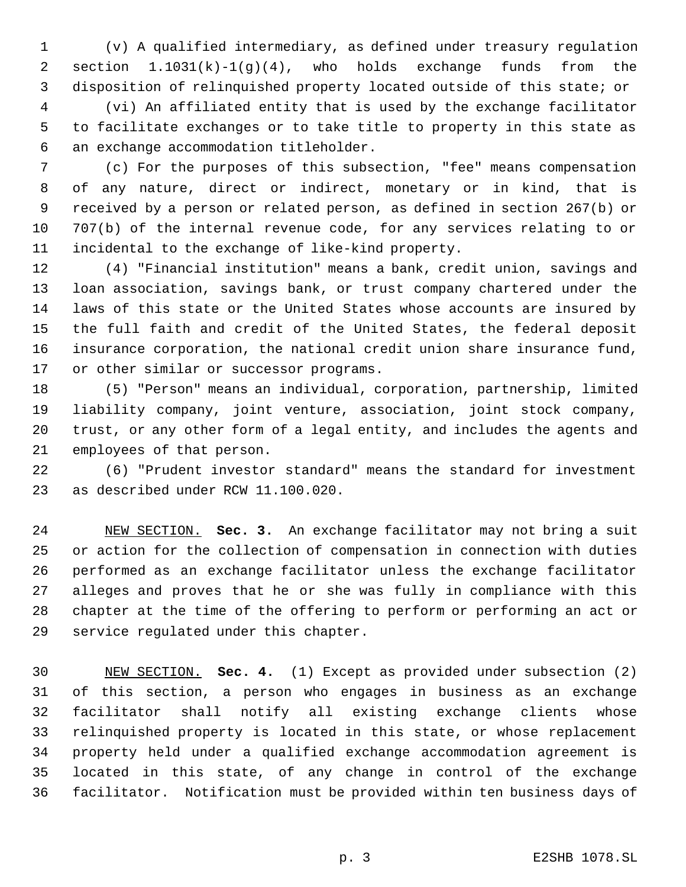(v) A qualified intermediary, as defined under treasury regulation section 1.1031(k)-1(g)(4), who holds exchange funds from the disposition of relinquished property located outside of this state; or

 (vi) An affiliated entity that is used by the exchange facilitator to facilitate exchanges or to take title to property in this state as an exchange accommodation titleholder.

 (c) For the purposes of this subsection, "fee" means compensation of any nature, direct or indirect, monetary or in kind, that is received by a person or related person, as defined in section 267(b) or 707(b) of the internal revenue code, for any services relating to or incidental to the exchange of like-kind property.

 (4) "Financial institution" means a bank, credit union, savings and loan association, savings bank, or trust company chartered under the laws of this state or the United States whose accounts are insured by the full faith and credit of the United States, the federal deposit insurance corporation, the national credit union share insurance fund, or other similar or successor programs.

 (5) "Person" means an individual, corporation, partnership, limited liability company, joint venture, association, joint stock company, trust, or any other form of a legal entity, and includes the agents and employees of that person.

 (6) "Prudent investor standard" means the standard for investment as described under RCW 11.100.020.

 NEW SECTION. **Sec. 3.** An exchange facilitator may not bring a suit or action for the collection of compensation in connection with duties performed as an exchange facilitator unless the exchange facilitator alleges and proves that he or she was fully in compliance with this chapter at the time of the offering to perform or performing an act or service regulated under this chapter.

 NEW SECTION. **Sec. 4.** (1) Except as provided under subsection (2) of this section, a person who engages in business as an exchange facilitator shall notify all existing exchange clients whose relinquished property is located in this state, or whose replacement property held under a qualified exchange accommodation agreement is located in this state, of any change in control of the exchange facilitator. Notification must be provided within ten business days of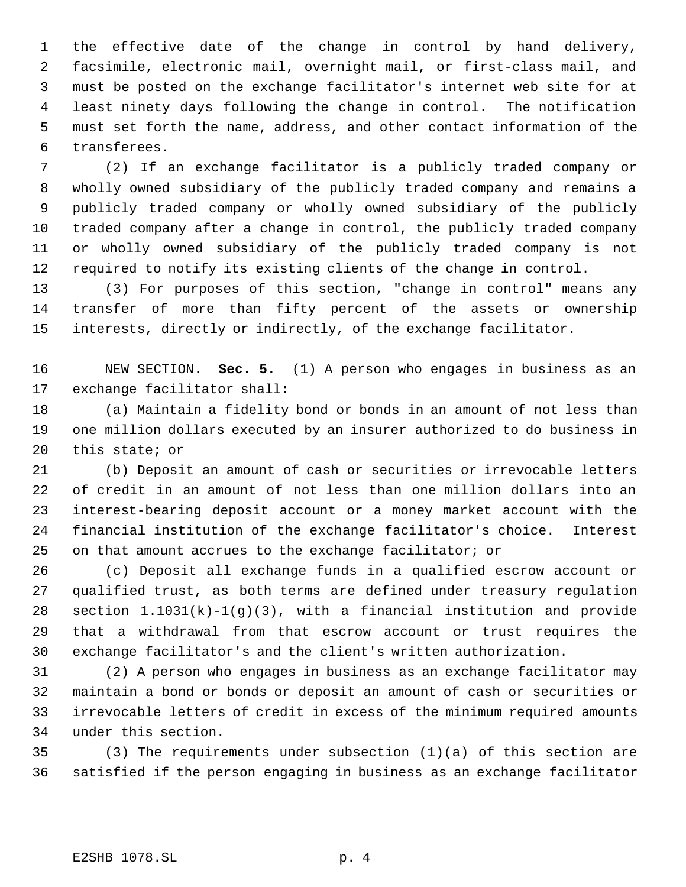the effective date of the change in control by hand delivery, facsimile, electronic mail, overnight mail, or first-class mail, and must be posted on the exchange facilitator's internet web site for at least ninety days following the change in control. The notification must set forth the name, address, and other contact information of the transferees.

 (2) If an exchange facilitator is a publicly traded company or wholly owned subsidiary of the publicly traded company and remains a publicly traded company or wholly owned subsidiary of the publicly traded company after a change in control, the publicly traded company or wholly owned subsidiary of the publicly traded company is not required to notify its existing clients of the change in control.

 (3) For purposes of this section, "change in control" means any transfer of more than fifty percent of the assets or ownership interests, directly or indirectly, of the exchange facilitator.

 NEW SECTION. **Sec. 5.** (1) A person who engages in business as an exchange facilitator shall:

 (a) Maintain a fidelity bond or bonds in an amount of not less than one million dollars executed by an insurer authorized to do business in this state; or

 (b) Deposit an amount of cash or securities or irrevocable letters of credit in an amount of not less than one million dollars into an interest-bearing deposit account or a money market account with the financial institution of the exchange facilitator's choice. Interest on that amount accrues to the exchange facilitator; or

 (c) Deposit all exchange funds in a qualified escrow account or qualified trust, as both terms are defined under treasury regulation section 1.1031(k)-1(g)(3), with a financial institution and provide that a withdrawal from that escrow account or trust requires the exchange facilitator's and the client's written authorization.

 (2) A person who engages in business as an exchange facilitator may maintain a bond or bonds or deposit an amount of cash or securities or irrevocable letters of credit in excess of the minimum required amounts under this section.

 (3) The requirements under subsection (1)(a) of this section are satisfied if the person engaging in business as an exchange facilitator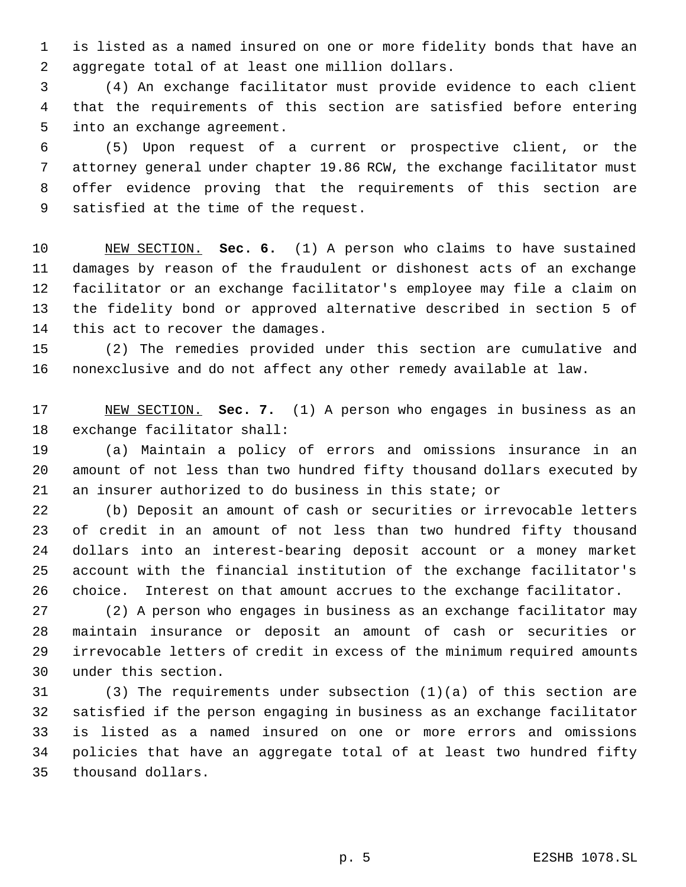is listed as a named insured on one or more fidelity bonds that have an aggregate total of at least one million dollars.

 (4) An exchange facilitator must provide evidence to each client that the requirements of this section are satisfied before entering into an exchange agreement.

 (5) Upon request of a current or prospective client, or the attorney general under chapter 19.86 RCW, the exchange facilitator must offer evidence proving that the requirements of this section are satisfied at the time of the request.

 NEW SECTION. **Sec. 6.** (1) A person who claims to have sustained damages by reason of the fraudulent or dishonest acts of an exchange facilitator or an exchange facilitator's employee may file a claim on the fidelity bond or approved alternative described in section 5 of this act to recover the damages.

 (2) The remedies provided under this section are cumulative and nonexclusive and do not affect any other remedy available at law.

 NEW SECTION. **Sec. 7.** (1) A person who engages in business as an exchange facilitator shall:

 (a) Maintain a policy of errors and omissions insurance in an amount of not less than two hundred fifty thousand dollars executed by an insurer authorized to do business in this state; or

 (b) Deposit an amount of cash or securities or irrevocable letters of credit in an amount of not less than two hundred fifty thousand dollars into an interest-bearing deposit account or a money market account with the financial institution of the exchange facilitator's choice. Interest on that amount accrues to the exchange facilitator.

 (2) A person who engages in business as an exchange facilitator may maintain insurance or deposit an amount of cash or securities or irrevocable letters of credit in excess of the minimum required amounts under this section.

 (3) The requirements under subsection (1)(a) of this section are satisfied if the person engaging in business as an exchange facilitator is listed as a named insured on one or more errors and omissions policies that have an aggregate total of at least two hundred fifty thousand dollars.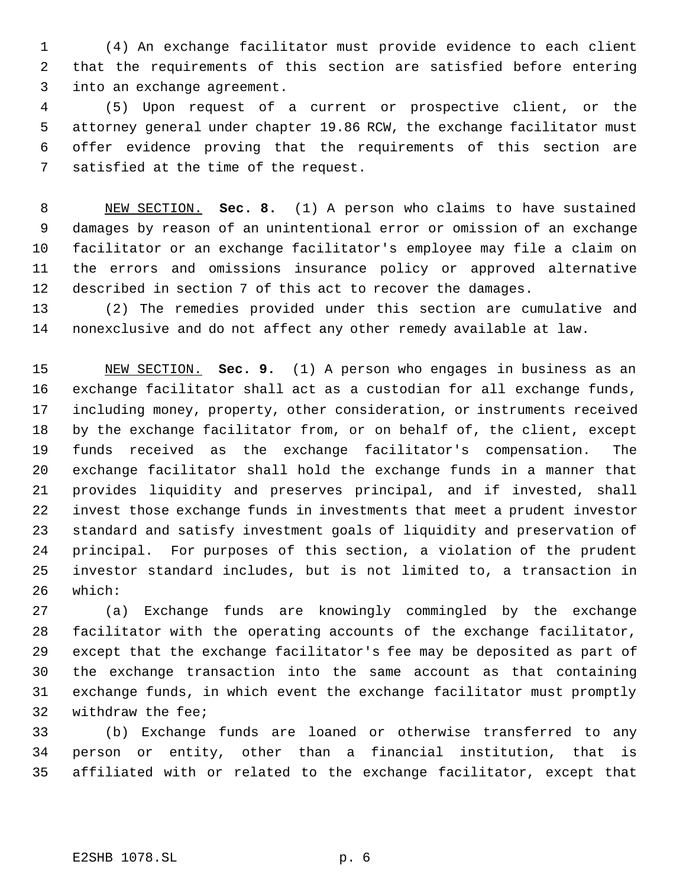(4) An exchange facilitator must provide evidence to each client that the requirements of this section are satisfied before entering into an exchange agreement.

 (5) Upon request of a current or prospective client, or the attorney general under chapter 19.86 RCW, the exchange facilitator must offer evidence proving that the requirements of this section are satisfied at the time of the request.

 NEW SECTION. **Sec. 8.** (1) A person who claims to have sustained damages by reason of an unintentional error or omission of an exchange facilitator or an exchange facilitator's employee may file a claim on the errors and omissions insurance policy or approved alternative described in section 7 of this act to recover the damages.

 (2) The remedies provided under this section are cumulative and nonexclusive and do not affect any other remedy available at law.

 NEW SECTION. **Sec. 9.** (1) A person who engages in business as an exchange facilitator shall act as a custodian for all exchange funds, including money, property, other consideration, or instruments received by the exchange facilitator from, or on behalf of, the client, except funds received as the exchange facilitator's compensation. The exchange facilitator shall hold the exchange funds in a manner that provides liquidity and preserves principal, and if invested, shall invest those exchange funds in investments that meet a prudent investor standard and satisfy investment goals of liquidity and preservation of principal. For purposes of this section, a violation of the prudent investor standard includes, but is not limited to, a transaction in which:

 (a) Exchange funds are knowingly commingled by the exchange facilitator with the operating accounts of the exchange facilitator, except that the exchange facilitator's fee may be deposited as part of the exchange transaction into the same account as that containing exchange funds, in which event the exchange facilitator must promptly withdraw the fee;

 (b) Exchange funds are loaned or otherwise transferred to any person or entity, other than a financial institution, that is affiliated with or related to the exchange facilitator, except that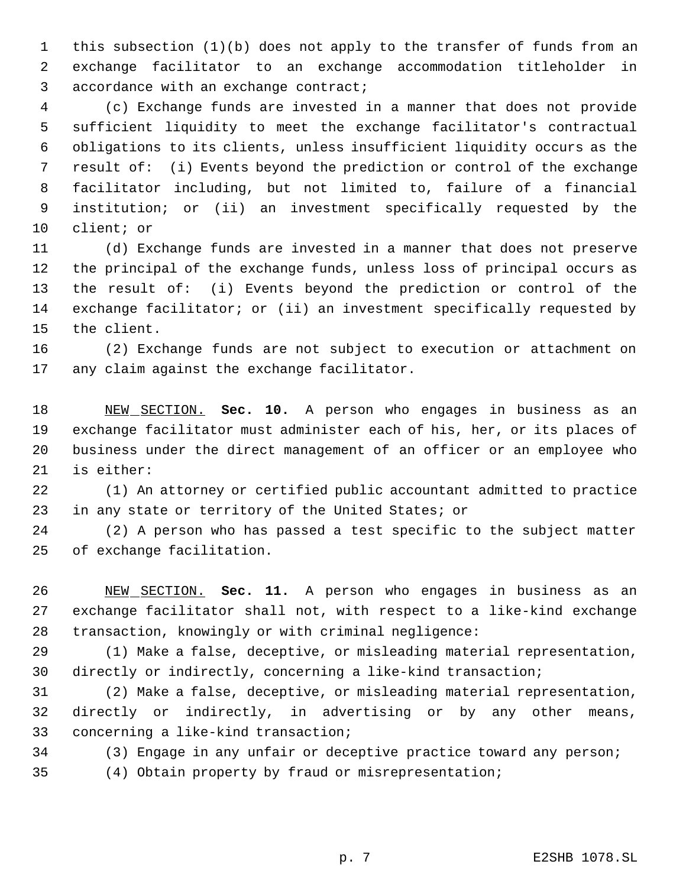this subsection (1)(b) does not apply to the transfer of funds from an exchange facilitator to an exchange accommodation titleholder in accordance with an exchange contract;

 (c) Exchange funds are invested in a manner that does not provide sufficient liquidity to meet the exchange facilitator's contractual obligations to its clients, unless insufficient liquidity occurs as the result of: (i) Events beyond the prediction or control of the exchange facilitator including, but not limited to, failure of a financial institution; or (ii) an investment specifically requested by the client; or

 (d) Exchange funds are invested in a manner that does not preserve the principal of the exchange funds, unless loss of principal occurs as the result of: (i) Events beyond the prediction or control of the exchange facilitator; or (ii) an investment specifically requested by the client.

 (2) Exchange funds are not subject to execution or attachment on any claim against the exchange facilitator.

 NEW SECTION. **Sec. 10.** A person who engages in business as an exchange facilitator must administer each of his, her, or its places of business under the direct management of an officer or an employee who is either:

 (1) An attorney or certified public accountant admitted to practice in any state or territory of the United States; or

 (2) A person who has passed a test specific to the subject matter of exchange facilitation.

 NEW SECTION. **Sec. 11.** A person who engages in business as an exchange facilitator shall not, with respect to a like-kind exchange transaction, knowingly or with criminal negligence:

 (1) Make a false, deceptive, or misleading material representation, directly or indirectly, concerning a like-kind transaction;

 (2) Make a false, deceptive, or misleading material representation, directly or indirectly, in advertising or by any other means, concerning a like-kind transaction;

(3) Engage in any unfair or deceptive practice toward any person;

(4) Obtain property by fraud or misrepresentation;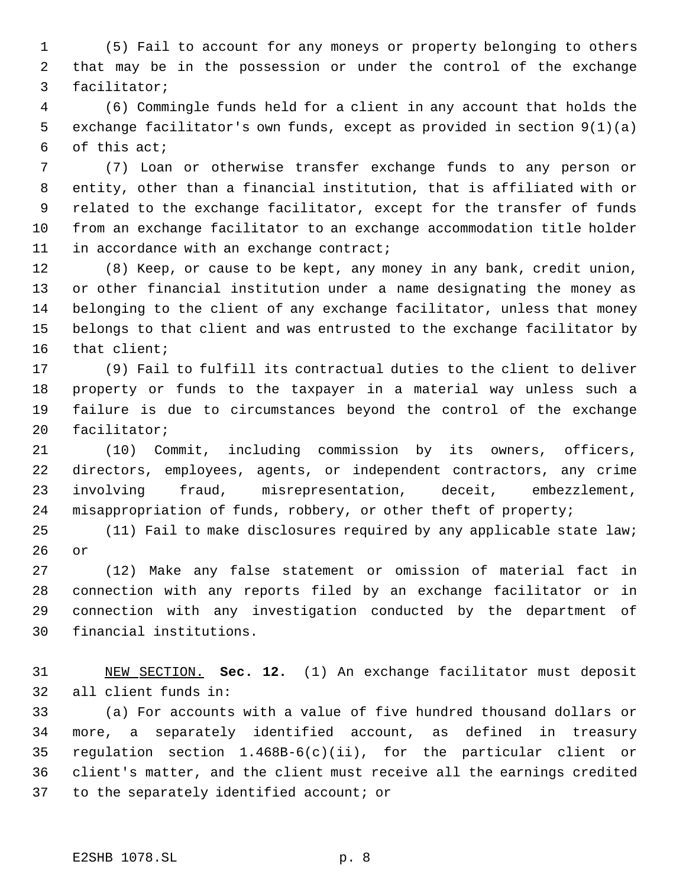(5) Fail to account for any moneys or property belonging to others that may be in the possession or under the control of the exchange facilitator;

 (6) Commingle funds held for a client in any account that holds the exchange facilitator's own funds, except as provided in section 9(1)(a) of this act;

 (7) Loan or otherwise transfer exchange funds to any person or entity, other than a financial institution, that is affiliated with or related to the exchange facilitator, except for the transfer of funds from an exchange facilitator to an exchange accommodation title holder 11 in accordance with an exchange contract;

 (8) Keep, or cause to be kept, any money in any bank, credit union, or other financial institution under a name designating the money as belonging to the client of any exchange facilitator, unless that money belongs to that client and was entrusted to the exchange facilitator by that client;

 (9) Fail to fulfill its contractual duties to the client to deliver property or funds to the taxpayer in a material way unless such a failure is due to circumstances beyond the control of the exchange facilitator;

 (10) Commit, including commission by its owners, officers, directors, employees, agents, or independent contractors, any crime involving fraud, misrepresentation, deceit, embezzlement, misappropriation of funds, robbery, or other theft of property;

 (11) Fail to make disclosures required by any applicable state law; or

 (12) Make any false statement or omission of material fact in connection with any reports filed by an exchange facilitator or in connection with any investigation conducted by the department of financial institutions.

 NEW SECTION. **Sec. 12.** (1) An exchange facilitator must deposit all client funds in:

 (a) For accounts with a value of five hundred thousand dollars or more, a separately identified account, as defined in treasury regulation section 1.468B-6(c)(ii), for the particular client or client's matter, and the client must receive all the earnings credited to the separately identified account; or

### E2SHB 1078.SL p. 8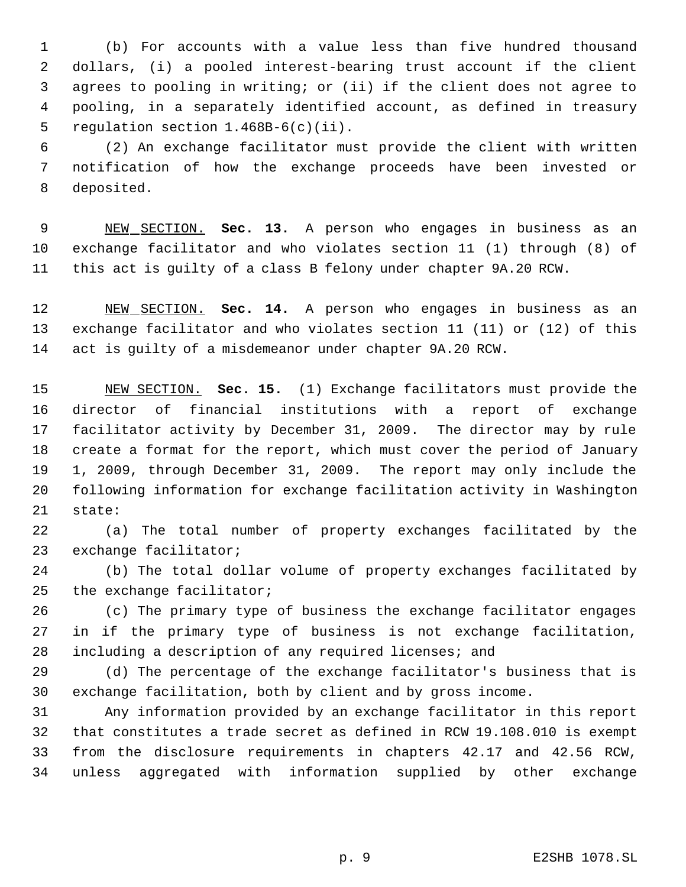(b) For accounts with a value less than five hundred thousand dollars, (i) a pooled interest-bearing trust account if the client agrees to pooling in writing; or (ii) if the client does not agree to pooling, in a separately identified account, as defined in treasury regulation section 1.468B-6(c)(ii).

 (2) An exchange facilitator must provide the client with written notification of how the exchange proceeds have been invested or deposited.

 NEW SECTION. **Sec. 13.** A person who engages in business as an exchange facilitator and who violates section 11 (1) through (8) of this act is guilty of a class B felony under chapter 9A.20 RCW.

 NEW SECTION. **Sec. 14.** A person who engages in business as an exchange facilitator and who violates section 11 (11) or (12) of this act is guilty of a misdemeanor under chapter 9A.20 RCW.

 NEW SECTION. **Sec. 15.** (1) Exchange facilitators must provide the director of financial institutions with a report of exchange facilitator activity by December 31, 2009. The director may by rule create a format for the report, which must cover the period of January 1, 2009, through December 31, 2009. The report may only include the following information for exchange facilitation activity in Washington state:

 (a) The total number of property exchanges facilitated by the exchange facilitator;

 (b) The total dollar volume of property exchanges facilitated by the exchange facilitator;

 (c) The primary type of business the exchange facilitator engages in if the primary type of business is not exchange facilitation, including a description of any required licenses; and

 (d) The percentage of the exchange facilitator's business that is exchange facilitation, both by client and by gross income.

 Any information provided by an exchange facilitator in this report that constitutes a trade secret as defined in RCW 19.108.010 is exempt from the disclosure requirements in chapters 42.17 and 42.56 RCW, unless aggregated with information supplied by other exchange